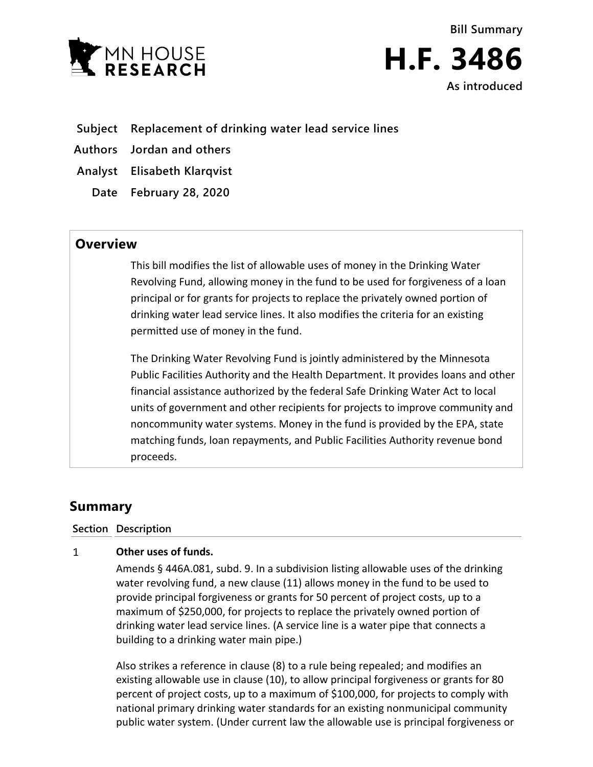



**Subject Replacement of drinking water lead service lines**

**Authors Jordan and others**

**Analyst Elisabeth Klarqvist**

**Date February 28, 2020**

## **Overview**

This bill modifies the list of allowable uses of money in the Drinking Water Revolving Fund, allowing money in the fund to be used for forgiveness of a loan principal or for grants for projects to replace the privately owned portion of drinking water lead service lines. It also modifies the criteria for an existing permitted use of money in the fund.

The Drinking Water Revolving Fund is jointly administered by the Minnesota Public Facilities Authority and the Health Department. It provides loans and other financial assistance authorized by the federal Safe Drinking Water Act to local units of government and other recipients for projects to improve community and noncommunity water systems. Money in the fund is provided by the EPA, state matching funds, loan repayments, and Public Facilities Authority revenue bond proceeds.

# **Summary**

### **Section Description**

#### $\mathbf{1}$ **Other uses of funds.**

Amends § 446A.081, subd. 9. In a subdivision listing allowable uses of the drinking water revolving fund, a new clause (11) allows money in the fund to be used to provide principal forgiveness or grants for 50 percent of project costs, up to a maximum of \$250,000, for projects to replace the privately owned portion of drinking water lead service lines. (A service line is a water pipe that connects a building to a drinking water main pipe.)

Also strikes a reference in clause (8) to a rule being repealed; and modifies an existing allowable use in clause (10), to allow principal forgiveness or grants for 80 percent of project costs, up to a maximum of \$100,000, for projects to comply with national primary drinking water standards for an existing nonmunicipal community public water system. (Under current law the allowable use is principal forgiveness or